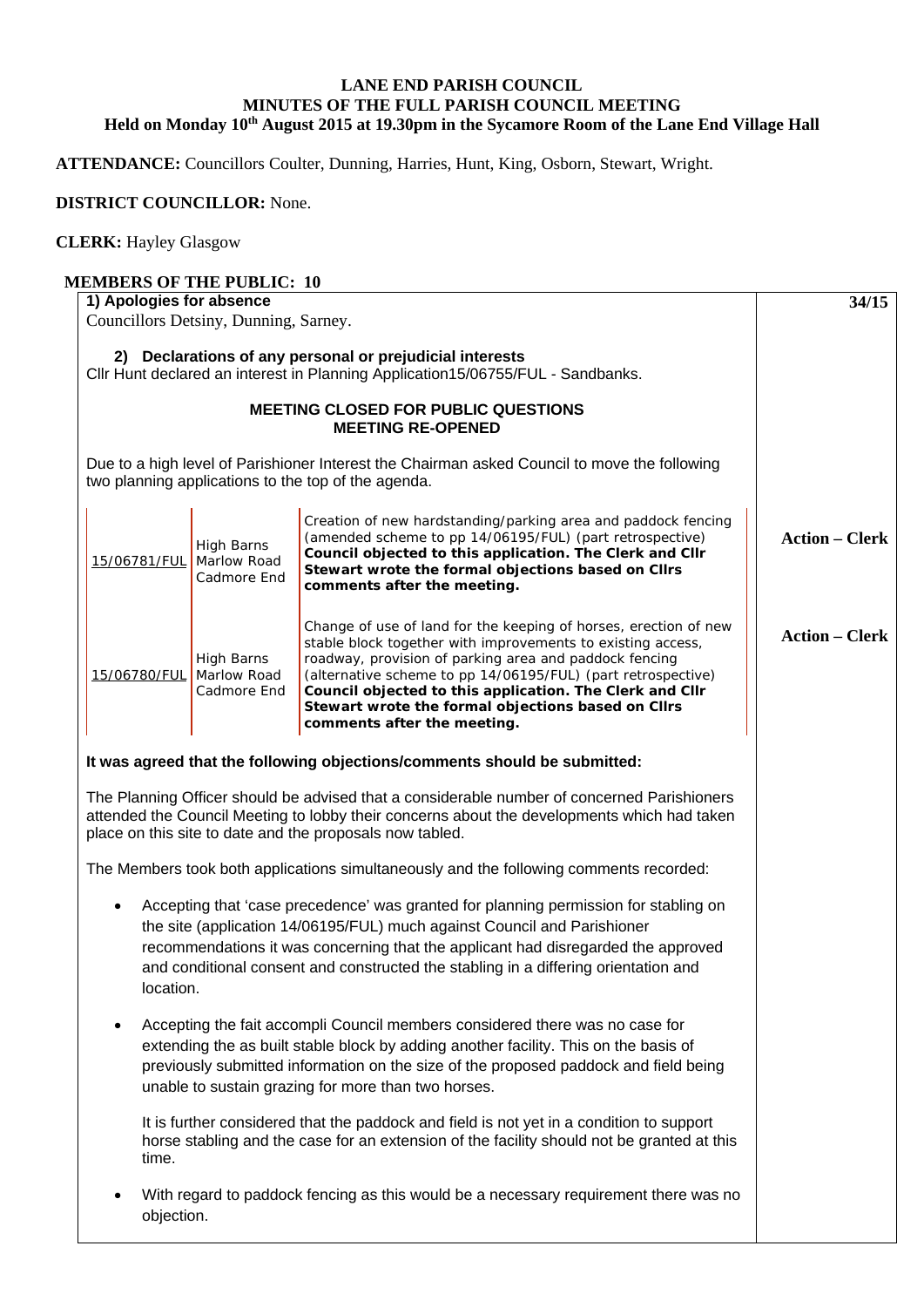## **LANE END PARISH COUNCIL MINUTES OF THE FULL PARISH COUNCIL MEETING Held on Monday 10th August 2015 at 19.30pm in the Sycamore Room of the Lane End Village Hall**

**ATTENDANCE:** Councillors Coulter, Dunning, Harries, Hunt, King, Osborn, Stewart, Wright.

## **DISTRICT COUNCILLOR:** None.

objection.

## **CLERK:** Hayley Glasgow

| <b>MEMBERS OF THE PUBLIC: 10</b><br>1) Apologies for absence |                           |                                                                                                                                                                                                                                                                                                                                                                                                            |                       |
|--------------------------------------------------------------|---------------------------|------------------------------------------------------------------------------------------------------------------------------------------------------------------------------------------------------------------------------------------------------------------------------------------------------------------------------------------------------------------------------------------------------------|-----------------------|
| Councillors Detsiny, Dunning, Sarney.                        | 34/15                     |                                                                                                                                                                                                                                                                                                                                                                                                            |                       |
|                                                              |                           | 2) Declarations of any personal or prejudicial interests<br>Cllr Hunt declared an interest in Planning Application15/06755/FUL - Sandbanks.                                                                                                                                                                                                                                                                |                       |
|                                                              |                           |                                                                                                                                                                                                                                                                                                                                                                                                            |                       |
|                                                              |                           | Due to a high level of Parishioner Interest the Chairman asked Council to move the following<br>two planning applications to the top of the agenda.                                                                                                                                                                                                                                                        |                       |
| 15/06781/FUL Marlow Road                                     | High Barns<br>Cadmore End | Creation of new hardstanding/parking area and paddock fencing<br>(amended scheme to pp 14/06195/FUL) (part retrospective)<br>Council objected to this application. The Clerk and Cllr<br>Stewart wrote the formal objections based on Cllrs<br>comments after the meeting.                                                                                                                                 | <b>Action – Clerk</b> |
| 15/06780/FUL Marlow Road                                     | High Barns<br>Cadmore End | Change of use of land for the keeping of horses, erection of new<br>stable block together with improvements to existing access,<br>roadway, provision of parking area and paddock fencing<br>(alternative scheme to pp 14/06195/FUL) (part retrospective)<br>Council objected to this application. The Clerk and Cllr<br>Stewart wrote the formal objections based on Cllrs<br>comments after the meeting. | <b>Action – Clerk</b> |
|                                                              |                           | It was agreed that the following objections/comments should be submitted:                                                                                                                                                                                                                                                                                                                                  |                       |
|                                                              |                           | The Planning Officer should be advised that a considerable number of concerned Parishioners<br>attended the Council Meeting to lobby their concerns about the developments which had taken<br>place on this site to date and the proposals now tabled.                                                                                                                                                     |                       |
|                                                              |                           | The Members took both applications simultaneously and the following comments recorded:                                                                                                                                                                                                                                                                                                                     |                       |
| location.                                                    |                           | Accepting that 'case precedence' was granted for planning permission for stabling on<br>the site (application 14/06195/FUL) much against Council and Parishioner<br>recommendations it was concerning that the applicant had disregarded the approved<br>and conditional consent and constructed the stabling in a differing orientation and                                                               |                       |
| $\bullet$                                                    |                           | Accepting the fait accompli Council members considered there was no case for<br>extending the as built stable block by adding another facility. This on the basis of<br>previously submitted information on the size of the proposed paddock and field being<br>unable to sustain grazing for more than two horses.                                                                                        |                       |
| time.                                                        |                           | It is further considered that the paddock and field is not yet in a condition to support<br>horse stabling and the case for an extension of the facility should not be granted at this                                                                                                                                                                                                                     |                       |
|                                                              |                           | With regard to paddock fencing as this would be a necessary requirement there was no                                                                                                                                                                                                                                                                                                                       |                       |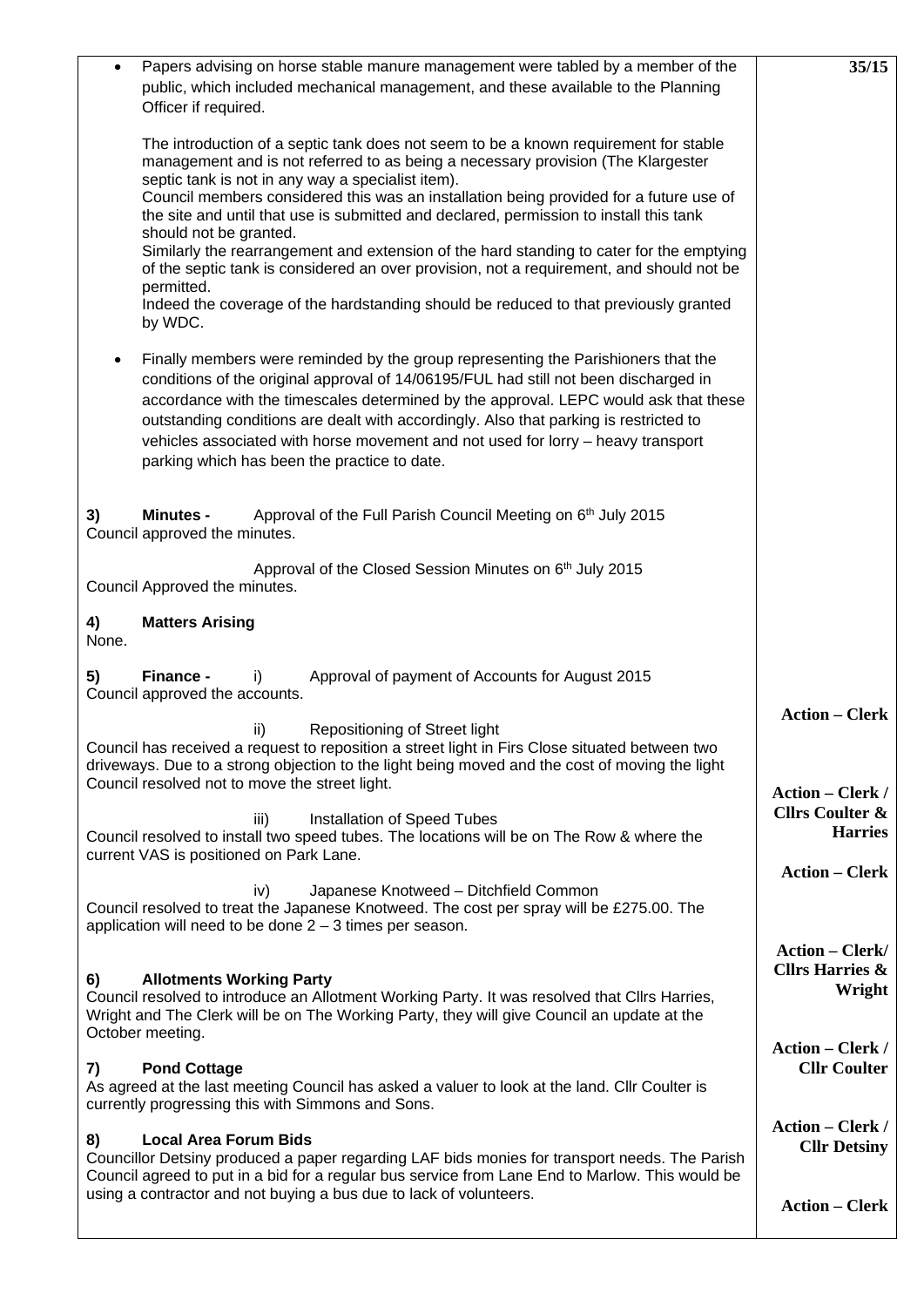| Papers advising on horse stable manure management were tabled by a member of the<br>$\bullet$<br>public, which included mechanical management, and these available to the Planning<br>Officer if required.                                                                                                                                                                                                                                                                                                                                                                                                                                                                                                                                           | 35/15                                                                   |
|------------------------------------------------------------------------------------------------------------------------------------------------------------------------------------------------------------------------------------------------------------------------------------------------------------------------------------------------------------------------------------------------------------------------------------------------------------------------------------------------------------------------------------------------------------------------------------------------------------------------------------------------------------------------------------------------------------------------------------------------------|-------------------------------------------------------------------------|
| The introduction of a septic tank does not seem to be a known requirement for stable<br>management and is not referred to as being a necessary provision (The Klargester<br>septic tank is not in any way a specialist item).<br>Council members considered this was an installation being provided for a future use of<br>the site and until that use is submitted and declared, permission to install this tank<br>should not be granted.<br>Similarly the rearrangement and extension of the hard standing to cater for the emptying<br>of the septic tank is considered an over provision, not a requirement, and should not be<br>permitted.<br>Indeed the coverage of the hardstanding should be reduced to that previously granted<br>by WDC. |                                                                         |
| Finally members were reminded by the group representing the Parishioners that the<br>٠<br>conditions of the original approval of 14/06195/FUL had still not been discharged in<br>accordance with the timescales determined by the approval. LEPC would ask that these<br>outstanding conditions are dealt with accordingly. Also that parking is restricted to<br>vehicles associated with horse movement and not used for lorry - heavy transport<br>parking which has been the practice to date.                                                                                                                                                                                                                                                  |                                                                         |
| Approval of the Full Parish Council Meeting on 6 <sup>th</sup> July 2015<br>3)<br><b>Minutes -</b><br>Council approved the minutes.                                                                                                                                                                                                                                                                                                                                                                                                                                                                                                                                                                                                                  |                                                                         |
| Approval of the Closed Session Minutes on 6th July 2015<br>Council Approved the minutes.                                                                                                                                                                                                                                                                                                                                                                                                                                                                                                                                                                                                                                                             |                                                                         |
| <b>Matters Arising</b><br>4)<br>None.                                                                                                                                                                                                                                                                                                                                                                                                                                                                                                                                                                                                                                                                                                                |                                                                         |
| Finance -<br>Approval of payment of Accounts for August 2015<br>5)<br>i)<br>Council approved the accounts.                                                                                                                                                                                                                                                                                                                                                                                                                                                                                                                                                                                                                                           |                                                                         |
| Repositioning of Street light<br>ii)<br>Council has received a request to reposition a street light in Firs Close situated between two<br>driveways. Due to a strong objection to the light being moved and the cost of moving the light<br>Council resolved not to move the street light.                                                                                                                                                                                                                                                                                                                                                                                                                                                           | <b>Action – Clerk</b>                                                   |
| Installation of Speed Tubes<br>iii)<br>Council resolved to install two speed tubes. The locations will be on The Row & where the<br>current VAS is positioned on Park Lane.                                                                                                                                                                                                                                                                                                                                                                                                                                                                                                                                                                          | <b>Action – Clerk /</b><br><b>Cllrs Coulter &amp;</b><br><b>Harries</b> |
| Japanese Knotweed - Ditchfield Common<br>iv)<br>Council resolved to treat the Japanese Knotweed. The cost per spray will be £275.00. The<br>application will need to be done $2 - 3$ times per season.                                                                                                                                                                                                                                                                                                                                                                                                                                                                                                                                               | <b>Action - Clerk</b>                                                   |
| <b>Allotments Working Party</b><br>6)<br>Council resolved to introduce an Allotment Working Party. It was resolved that Cllrs Harries,<br>Wright and The Clerk will be on The Working Party, they will give Council an update at the<br>October meeting.                                                                                                                                                                                                                                                                                                                                                                                                                                                                                             | <b>Action - Clerk/</b><br><b>Cllrs Harries &amp;</b><br>Wright          |
| <b>Pond Cottage</b><br>7)<br>As agreed at the last meeting Council has asked a valuer to look at the land. Cllr Coulter is<br>currently progressing this with Simmons and Sons.                                                                                                                                                                                                                                                                                                                                                                                                                                                                                                                                                                      | <b>Action – Clerk /</b><br><b>Cllr Coulter</b>                          |
| <b>Local Area Forum Bids</b><br>8)<br>Councillor Detsiny produced a paper regarding LAF bids monies for transport needs. The Parish<br>Council agreed to put in a bid for a regular bus service from Lane End to Marlow. This would be                                                                                                                                                                                                                                                                                                                                                                                                                                                                                                               | <b>Action – Clerk /</b><br><b>Cllr Detsiny</b>                          |
| using a contractor and not buying a bus due to lack of volunteers.                                                                                                                                                                                                                                                                                                                                                                                                                                                                                                                                                                                                                                                                                   | <b>Action - Clerk</b>                                                   |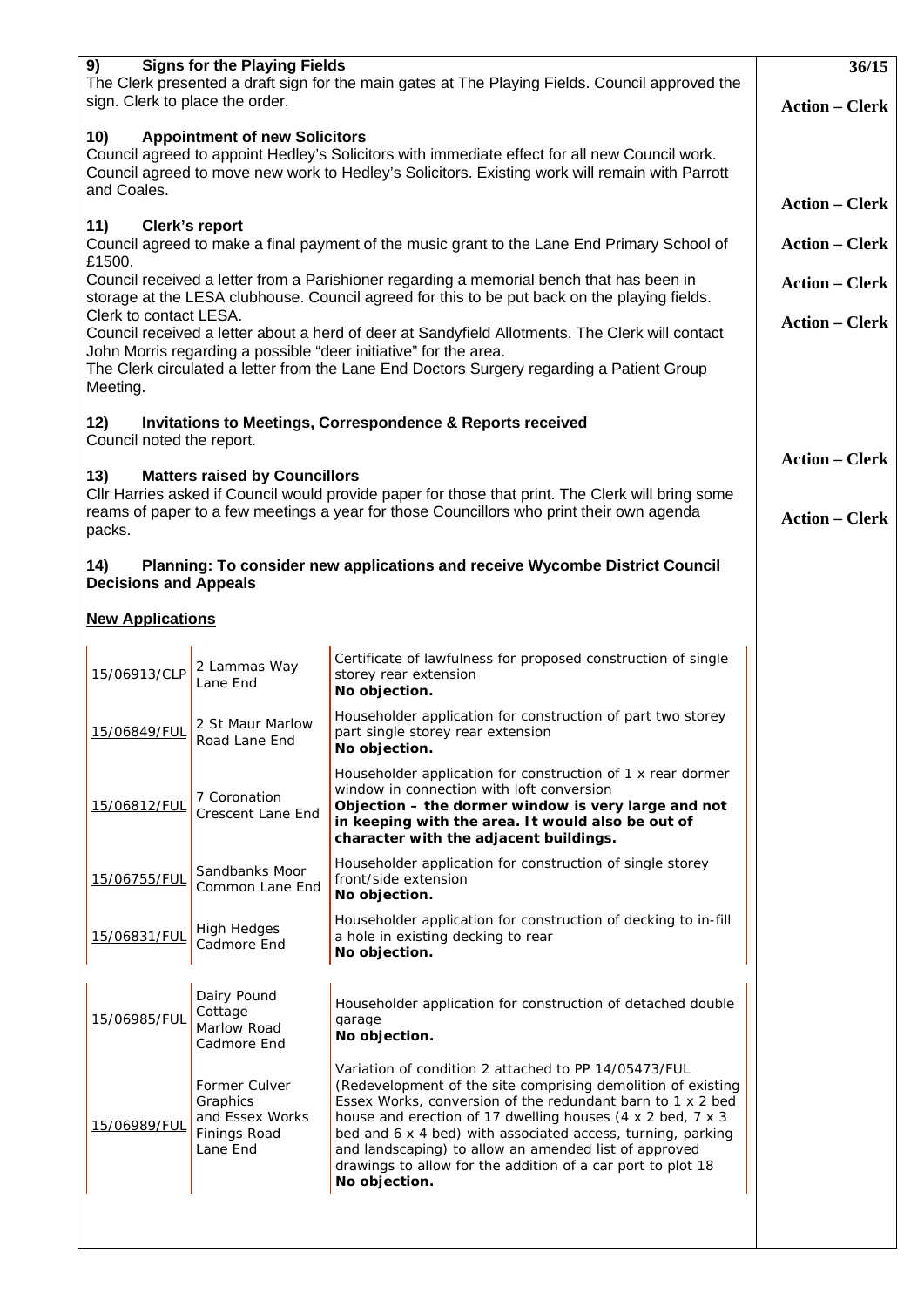| 9)<br><b>Signs for the Playing Fields</b><br>The Clerk presented a draft sign for the main gates at The Playing Fields. Council approved the<br>sign. Clerk to place the order.                                                                                              | 36/15<br><b>Action – Clerk</b>                                           |                                                                                                                                                                                                                                                                                                                                                                                                                                                          |                       |
|------------------------------------------------------------------------------------------------------------------------------------------------------------------------------------------------------------------------------------------------------------------------------|--------------------------------------------------------------------------|----------------------------------------------------------------------------------------------------------------------------------------------------------------------------------------------------------------------------------------------------------------------------------------------------------------------------------------------------------------------------------------------------------------------------------------------------------|-----------------------|
| <b>Appointment of new Solicitors</b><br>10)<br>Council agreed to appoint Hedley's Solicitors with immediate effect for all new Council work.<br>Council agreed to move new work to Hedley's Solicitors. Existing work will remain with Parrott<br>and Coales.                |                                                                          |                                                                                                                                                                                                                                                                                                                                                                                                                                                          |                       |
|                                                                                                                                                                                                                                                                              | <b>Action – Clerk</b>                                                    |                                                                                                                                                                                                                                                                                                                                                                                                                                                          |                       |
| 11)<br>Clerk's report<br>Council agreed to make a final payment of the music grant to the Lane End Primary School of<br>£1500.                                                                                                                                               | <b>Action – Clerk</b>                                                    |                                                                                                                                                                                                                                                                                                                                                                                                                                                          |                       |
| Council received a letter from a Parishioner regarding a memorial bench that has been in<br>storage at the LESA clubhouse. Council agreed for this to be put back on the playing fields.<br>Clerk to contact LESA.                                                           | <b>Action - Clerk</b>                                                    |                                                                                                                                                                                                                                                                                                                                                                                                                                                          |                       |
| Council received a letter about a herd of deer at Sandyfield Allotments. The Clerk will contact<br>John Morris regarding a possible "deer initiative" for the area.<br>The Clerk circulated a letter from the Lane End Doctors Surgery regarding a Patient Group<br>Meeting. | <b>Action – Clerk</b>                                                    |                                                                                                                                                                                                                                                                                                                                                                                                                                                          |                       |
| 12)                                                                                                                                                                                                                                                                          |                                                                          | Invitations to Meetings, Correspondence & Reports received                                                                                                                                                                                                                                                                                                                                                                                               |                       |
| Council noted the report.                                                                                                                                                                                                                                                    |                                                                          |                                                                                                                                                                                                                                                                                                                                                                                                                                                          | <b>Action – Clerk</b> |
| 13)<br><b>Matters raised by Councillors</b><br>CIIr Harries asked if Council would provide paper for those that print. The Clerk will bring some<br>reams of paper to a few meetings a year for those Councillors who print their own agenda<br>packs.                       | <b>Action – Clerk</b>                                                    |                                                                                                                                                                                                                                                                                                                                                                                                                                                          |                       |
| Planning: To consider new applications and receive Wycombe District Council<br>14)<br><b>Decisions and Appeals</b>                                                                                                                                                           |                                                                          |                                                                                                                                                                                                                                                                                                                                                                                                                                                          |                       |
| <b>New Applications</b>                                                                                                                                                                                                                                                      |                                                                          |                                                                                                                                                                                                                                                                                                                                                                                                                                                          |                       |
| 15/06913/CLP                                                                                                                                                                                                                                                                 | 2 Lammas Way<br>Lane End                                                 | Certificate of lawfulness for proposed construction of single<br>storey rear extension<br>No objection.                                                                                                                                                                                                                                                                                                                                                  |                       |
| 15/06849/FUL                                                                                                                                                                                                                                                                 | 2 St Maur Marlow<br>Road Lane End                                        | Householder application for construction of part two storey<br>part single storey rear extension<br>No objection.                                                                                                                                                                                                                                                                                                                                        |                       |
| 15/06812/FUL                                                                                                                                                                                                                                                                 | 7 Coronation<br>Crescent Lane End                                        | Householder application for construction of 1 x rear dormer<br>window in connection with loft conversion<br>Objection – the dormer window is very large and not<br>in keeping with the area. It would also be out of<br>character with the adjacent buildings.                                                                                                                                                                                           |                       |
| 15/06755/FUL                                                                                                                                                                                                                                                                 | Sandbanks Moor<br>Common Lane End                                        | Householder application for construction of single storey<br>front/side extension<br>No objection.                                                                                                                                                                                                                                                                                                                                                       |                       |
| 15/06831/FUL                                                                                                                                                                                                                                                                 | High Hedges<br>Cadmore End                                               | Householder application for construction of decking to in-fill<br>a hole in existing decking to rear<br>No objection.                                                                                                                                                                                                                                                                                                                                    |                       |
| 15/06985/FUL                                                                                                                                                                                                                                                                 | Dairy Pound<br>Cottage<br>Marlow Road<br>Cadmore End                     | Householder application for construction of detached double<br>garage<br>No objection.                                                                                                                                                                                                                                                                                                                                                                   |                       |
| 15/06989/FUL                                                                                                                                                                                                                                                                 | Former Culver<br>Graphics<br>and Essex Works<br>Finings Road<br>Lane End | Variation of condition 2 attached to PP 14/05473/FUL<br>(Redevelopment of the site comprising demolition of existing<br>Essex Works, conversion of the redundant barn to 1 x 2 bed<br>house and erection of 17 dwelling houses (4 x 2 bed, 7 x 3<br>bed and 6 x 4 bed) with associated access, turning, parking<br>and landscaping) to allow an amended list of approved<br>drawings to allow for the addition of a car port to plot 18<br>No objection. |                       |
|                                                                                                                                                                                                                                                                              |                                                                          |                                                                                                                                                                                                                                                                                                                                                                                                                                                          |                       |